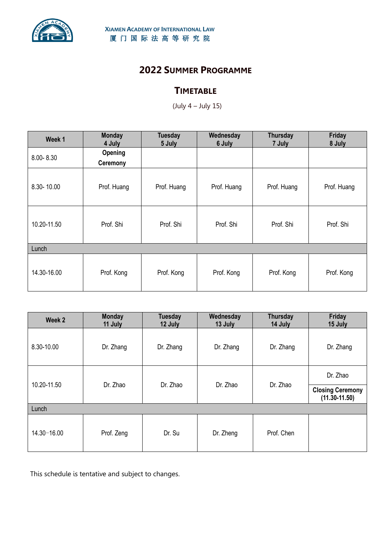

## **2022 SUMMER PROGRAMME**

## **TIMETABLE**

(July 4 – July 15)

| Week 1      | <b>Monday</b><br>4 July    | <b>Tuesday</b><br>5 July | Wednesday<br>6 July | Thursday<br>7 July | Friday<br>8 July |  |  |  |
|-------------|----------------------------|--------------------------|---------------------|--------------------|------------------|--|--|--|
| 8.00-8.30   | Opening<br><b>Ceremony</b> |                          |                     |                    |                  |  |  |  |
| 8.30-10.00  | Prof. Huang                | Prof. Huang              | Prof. Huang         | Prof. Huang        | Prof. Huang      |  |  |  |
| 10.20-11.50 | Prof. Shi                  | Prof. Shi                | Prof. Shi           | Prof. Shi          | Prof. Shi        |  |  |  |
| Lunch       |                            |                          |                     |                    |                  |  |  |  |
| 14.30-16.00 | Prof. Kong                 | Prof. Kong               | Prof. Kong          | Prof. Kong         | Prof. Kong       |  |  |  |

| Week 2          | <b>Monday</b><br>11 July | <b>Tuesday</b><br>12 July | Wednesday<br>13 July | <b>Thursday</b><br>14 July | Friday<br>15 July                            |  |  |  |
|-----------------|--------------------------|---------------------------|----------------------|----------------------------|----------------------------------------------|--|--|--|
| 8.30-10.00      | Dr. Zhang                | Dr. Zhang                 | Dr. Zhang            | Dr. Zhang                  | Dr. Zhang                                    |  |  |  |
| 10.20-11.50     | Dr. Zhao                 | Dr. Zhao                  | Dr. Zhao             | Dr. Zhao                   | Dr. Zhao                                     |  |  |  |
|                 |                          |                           |                      |                            | <b>Closing Ceremony</b><br>$(11.30 - 11.50)$ |  |  |  |
| Lunch           |                          |                           |                      |                            |                                              |  |  |  |
| $14.30 - 16.00$ | Prof. Zeng               | Dr. Su                    | Dr. Zheng            | Prof. Chen                 |                                              |  |  |  |

This schedule is tentative and subject to changes.